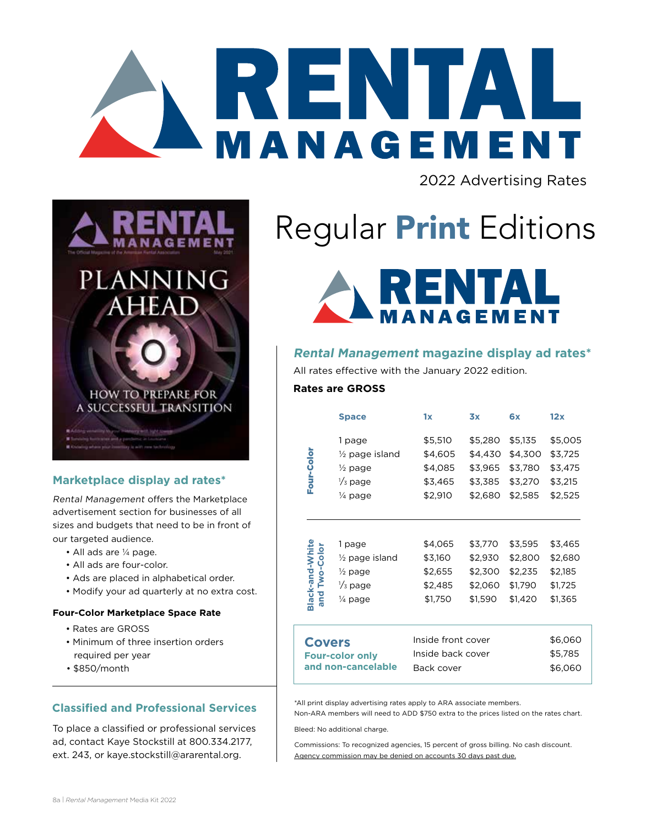

2022 Advertising Rates



### **Marketplace display ad rates\***

Rental Management offers the Marketplace advertisement section for businesses of all sizes and budgets that need to be in front of our targeted audience.

- All ads are ¼ page.
- All ads are four-color.
- Ads are placed in alphabetical order.
- Modify your ad quarterly at no extra cost.

#### **Four-Color Marketplace Space Rate**

- Rates are GROSS
- Minimum of three insertion orders required per year
- \$850/month

### **Classified and Professional Services**

To place a classified or professional services ad, contact Kaye Stockstill at 800.334.2177, ext. 243, or kaye.stockstill@ararental.org.

# Regular **Print** Editions



### **Rental Management magazine display ad rates\***

All rates effective with the January 2022 edition.

### **Rates are GROSS**

|                                     | <b>Space</b>                                                                                | 1x                                                  | 3x                                                  | 6x                                                  | 12x                                                 |
|-------------------------------------|---------------------------------------------------------------------------------------------|-----------------------------------------------------|-----------------------------------------------------|-----------------------------------------------------|-----------------------------------------------------|
| Four-Color                          | 1 page<br>$\frac{1}{2}$ page island<br>$\frac{1}{2}$ page<br>$\frac{1}{3}$ page<br>1⁄4 page | \$5,510<br>\$4,605<br>\$4,085<br>\$3,465<br>\$2,910 | \$5,280<br>\$4,430<br>\$3,965<br>\$3,385<br>\$2,680 | \$5,135<br>\$4,300<br>\$3,780<br>\$3,270<br>\$2,585 | \$5,005<br>\$3,725<br>\$3,475<br>\$3,215<br>\$2,525 |
| Black-and-White<br>Two-Color<br>and | 1 page<br>$\frac{1}{2}$ page island<br>$\frac{1}{2}$ page<br>$\frac{1}{3}$ page<br>¼ page   | \$4,065<br>\$3,160<br>\$2,655<br>\$2,485<br>\$1,750 | \$3,770<br>\$2,930<br>\$2,300<br>\$2,060<br>\$1,590 | \$3,595<br>\$2,800<br>\$2,235<br>\$1,790<br>\$1,420 | \$3,465<br>\$2,680<br>\$2,185<br>\$1,725<br>\$1,365 |
| OVARS                               |                                                                                             | Inside front cover                                  |                                                     |                                                     | \$6,060                                             |

Inside back cover \$5,785 Back cover \$6,060 **Covers Four-color only and non-cancelable**

\*All print display advertising rates apply to ARA associate members. Non-ARA members will need to ADD \$750 extra to the prices listed on the rates chart.

Bleed: No additional charge.

Commissions: To recognized agencies, 15 percent of gross billing. No cash discount. Agency commission may be denied on accounts 30 days past due.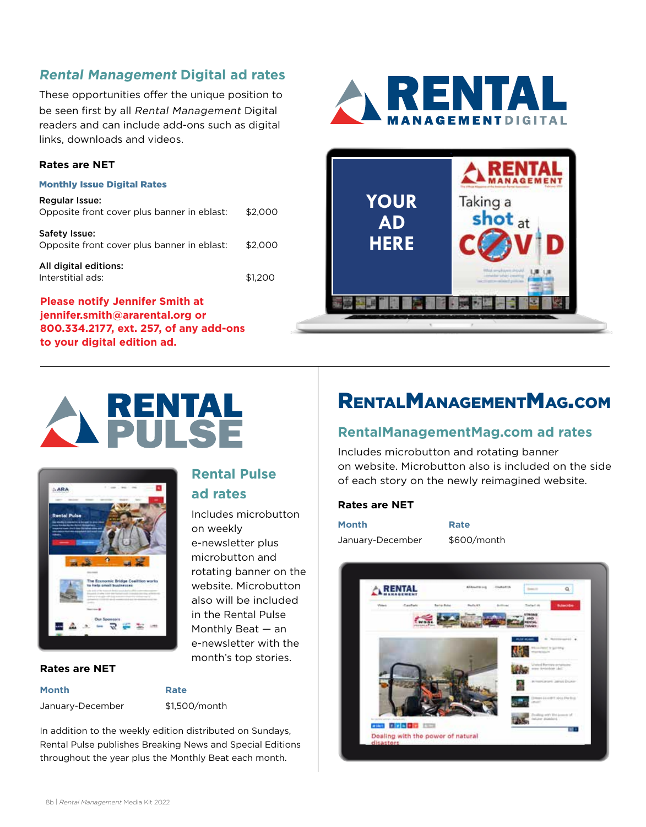### **Rental Management Digital ad rates**

These opportunities offer the unique position to be seen first by all Rental Management Digital readers and can include add-ons such as digital links, downloads and videos.

### **Rates are NET**

#### Monthly Issue Digital Rates

| Regular Issue:<br>Opposite front cover plus banner in eblast: | \$2,000 |
|---------------------------------------------------------------|---------|
| Safety Issue:<br>Opposite front cover plus banner in eblast:  | \$2,000 |
| All digital editions:<br>Interstitial ads:                    | \$1.200 |

### **Please notify Jennifer Smith at jennifer.smith@ararental.org or 800.334.2177, ext. 257, of any add-ons to your digital edition ad.**









#### **Rates are NET**

**Month Rate**

January-December \$1,500/month

**Rental Pulse** 

e-newsletter plus microbutton and rotating banner on the website. Microbutton also will be included in the Rental Pulse Monthly Beat — an e-newsletter with the month's top stories.

Includes microbutton

**ad rates**

on weekly

In addition to the weekly edition distributed on Sundays, Rental Pulse publishes Breaking News and Special Editions throughout the year plus the Monthly Beat each month.

### RentalManagementMag.com

### **RentalManagementMag.com ad rates**

Includes microbutton and rotating banner on website. Microbutton also is included on the side of each story on the newly reimagined website.

### **Rates are NET**

| Month            | Rate        |
|------------------|-------------|
| January-December | \$600/month |

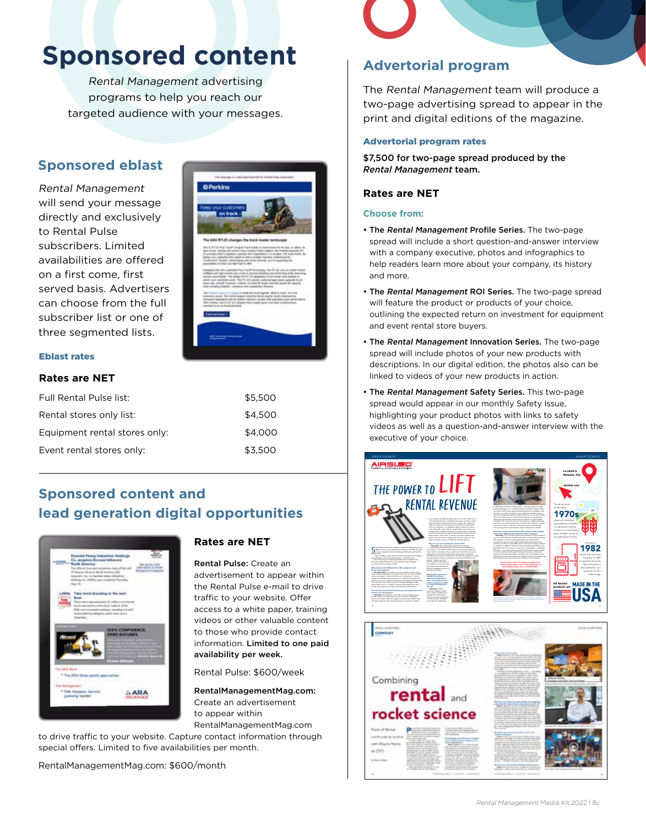## **Sponsored content**

Rental Management advertising programs to help you reach our targeted audience with your messages.

### **Sponsored eblast**

Rental Management will send your message directly and exclusively to Rental Pulse subscribers. Limited availabilities are offered on a first come, first served basis. Advertisers can choose from the full subscriber list or one of three segmented lists.



#### Eblast rates

### **Rates are NET**

| Full Rental Pulse list:       | \$5,500 |
|-------------------------------|---------|
| Rental stores only list:      | \$4.500 |
| Equipment rental stores only: | \$4,000 |
| Event rental stores only:     | \$3.500 |

### **Sponsored content and lead generation digital opportunities**



### **Rates are NET**

Rental Pulse: Create an advertisement to appear within the Rental Pulse e-mail to drive traffic to your website. Offer access to a white paper, training videos or other valuable content to those who provide contact information. Limited to one paid availability per week.

Rental Pulse: \$600/week

RentalManagementMag.com: Create an advertisement to appear within RentalManagementMag.com

to drive traffic to your website. Capture contact information through special offers. Limited to five availabilities per month.

RentalManagementMag.com: \$600/month

### **Advertorial program**

The Rental Management team will produce a two-page advertising spread to appear in the print and digital editions of the magazine.

#### Advertorial program rates

\$7,500 for two-page spread produced by the *Rental Management* team.

#### **Rates are NET**

#### **Choose from:**

- The Rental Management Profile Series. The two-page spread will include a short question-and-answer interview with a company executive, photos and infographics to help readers learn more about your company, its history and more.
- The Rental Management ROI Series. The two-page spread will feature the product or products of your choice, outlining the expected return on investment for equipment and event rental store buyers.
- The Rental Management Innovation Series. The two-page spread will include photos of your new products with descriptions. In our digital edition, the photos also can be linked to videos of your new products in action.
- The Rental Management Safety Series. This two-page spread would appear in our monthly Safety Issue, highlighting your product photos with links to safety videos as well as a question-and-answer interview with the executive of your choice.